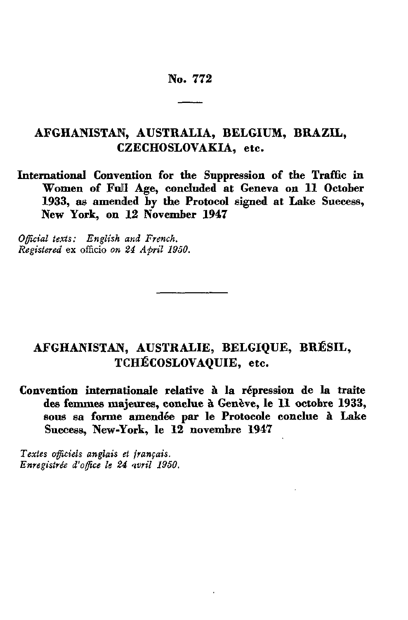# No. 772

# **AFGHANISTAN, AUSTRALIA, BELGIUM, BRAZIL, CZECHOSLOVAKIA, etc.**

**International Convention for the Suppression of the Traffic in Women of Full Age, concluded at Geneva on 11 October**  1933, as amended by the Protocol signed at Lake Success, **New York, on 12 November 1947**

*Official texts: English and French. Registered* **ex** officio *on 24 April 1950.*

# **AFGHANISTAN, AUSTRALIE, BELGIQUE, BRÉSIL, TCHÉCOSLOVAQUIE, etc.**

**Convention internationale relative à la répression de la traite des femmes majeures, conclue à Genève, le 11 octobre 1933, sous sa forme amendée par le Protocole conclue à Lake Success, New-York, le 12 novembre 1947**

*Textes officiels anglais et français. Enregistrée d'office le 24 'tvril 1950.*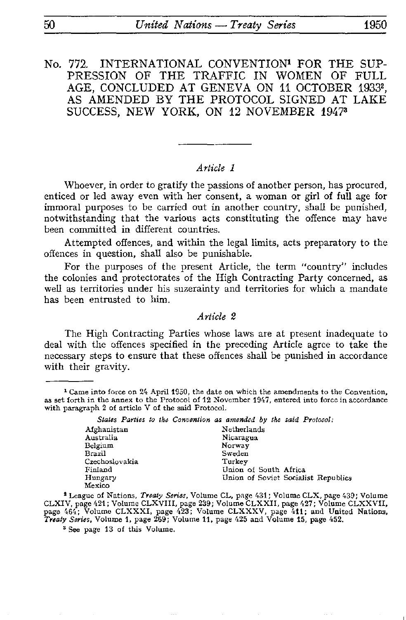No. 772. INTERNATIONAL CONVENTION<sup>1</sup> FOR THE SUP-**PRESSION** OF THE **TRAFFIC IN** WOMEN **OF FULL AGE, CONCLUDED AT GENEVA ON 11 OCTOBER** 19332 , AS AMENDED **BY THE PROTOCOL** SIGNED AT **LAKE**  SUCCESS, NEW **YORK, ON 12 NOVEMBER 1947»**

#### *Article 1*

Whoever, in order to gratify the passions of another person, has procured, enticed or led away even with her consent, a woman or girl of full age for immoral purposes to be carried out in another country, shall be punished, notwithstanding that the various acts constituting the offence may have been committed in different countries.

Attempted offences, and within the legal limits, acts preparatory to the offences in question, shall also be punishable.

For the purposes of the present Article, the term "country" includes the colonies and protectorates of the High Contracting Party concerned, as well as territories under his suzerainty and territories for which a mandate has been entrusted to him.

### *Article 2*

The High Contracting Parties whose laws are at present inadequate to deal with the offences specified in the preceding Article agree to take the necessary steps to ensure that these offences shall be punished in accordance with their gravity.

<sup>&</sup>lt;sup>1</sup> Came into force on 24 April 1950, the date on which the amendments to the Convention, as set forth in the annex to the Protocol of 12 November 1947, entered into force in accordance with paragraph 2 of article V of the said Protocol.

|                | States Parties to the Convention as amended by the said Protocol: |
|----------------|-------------------------------------------------------------------|
| Afghanistan    | Netherlands                                                       |
| Australia      | Nicaragua                                                         |
| Belgium        | Norway                                                            |
| Brazil         | Sweden                                                            |
| Czechoslovakia | Turkey                                                            |
| Finland        | Union of South Africa                                             |
| Hungary        | Union of Soviet Socialist Republics                               |
| Mexico         |                                                                   |

2 League of Nations, *Treaty Series,* Volume CL, page 431 ; Volume CLX, page 439; Volume CLXIV, page 421 ; Volume CLXVIII, page 239; Volume CLXXII, page 427; Volume CLXXVII, page 464; Volume CLXXXI, page 423; Volume CLXXXV, page 411; and United Nations, *Treaty Series,* Volume 1, page 269; Volume 11, page 425 and Volume 15, page 452.

3 See page 13 of this Volume.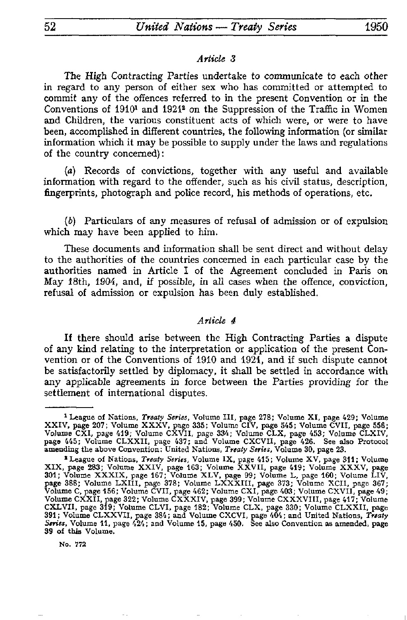#### *Article 3*

The High Contracting Parties undertake to communicate to each other in regard to any person of either sex who has committed or attempted to commit any of the offences referred to in the present Convention or in the Conventions of 1910<sup>1</sup> and 1921<sup>2</sup> on the Suppression of the Traffic in Women and Children, the various constituent acts of which were, or were to have been, accomplished in different countries, the following information (or similar information which it may be possible to supply under the laws and regulations of the country concerned) :

*(a)* Records of convictions, together with any useful and available information with regard to the offender, such as his civil status, description, fingerprints, photograph and police record, his methods of operations, etc.

(&) Particulars of any measures of refusal of admission or of expulsion which may have been applied to him.

These documents and information shall be sent direct and without delay to the authorities of the countries concerned in each particular case by the authorities named in Article I of the Agreement concluded in Paris on May 18th, 1904, and, if possible, in all cases when the offence, conviction, refusal of admission or expulsion has been duly established.

#### *Article 4*

If there should arise between the High Contracting Parties a dispute of any kind relating to the interpretation or application of the present Con vention or of the Conventions of 1910 and 1921, and if such dispute cannot be satisfactorily settled by diplomacy, it shall be settled in accordance with any applicable agreements in force between the Parties providing for the settlement of international disputes.

No. 772

<sup>1</sup> League of Nations, *Treaty Series,* Volume III, page 278; Volume XI, page 429; Volume XXIV, page 207; Volume XXXV, page 335; Volume CIV, page 545; Volume CVII, page 556; Volume CXI, page 419; Volume CXVII, page 334; Volume CLX, page 453; Volume CLXIV, page 445; Volume CLXXII, page 437; and Volume CXCVII, page 426. See also Protocol amending the above Convention: United Nations, *Treaty Series*, Volume 30, page 23.

League of Nations, *Treaty Series,* Volume IX, page 415; Volume XV, page 311; Volume XIX, page 283; Volume XXIV, page 163; Volume XXVII, page 419; Volume XXXV, page 301; Volume XXXIX, page 167; Volume XLV, page 99; Volume L, page 160; Volume LIV, page 388; Volume LXIII, page 378; Volume LXXXIII, page 373; Volume XCII, page 367; Volume C, page 156; Volume CVII, page 462; Volume CXI, page 403; Volume CXVII, page 49; Volume CXXII, page 322; Volume CXXXIV, page 399; Volume CXXXVIII, page 417; Volume CXLVII, page 319; Volume CLVI, page 182; Volume CLX, page 330; Volume CLXXII, page 391; Volume CLXXVII, page 384; and Volume CXCVI, page 404; and United Nations, *Treaty Series,* Volume 11, page 424; and Volume 15, page 450. See also Convention as amended, page 39 of this Volume.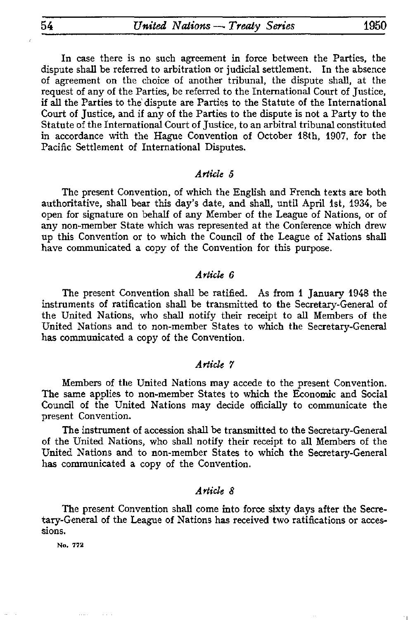In case there is no such agreement in force between the Parties, the ute shall be referred to arbitration or judicial settlement. In the absence dispute shall be referred to arbitration or judicial settlement. of agreement on the choice of another tribunal, the dispute shall, at the request of any of the Parties, be referred to the International Court of Justice, if all the Parties to the dispute are Parties to the Statute of the International Court of Justice, and if any of the Parties to the dispute is not a Party to the Statute of the International Court of Justice, to an arbitral tribunal constituted in accordance with the Hague Convention of October 18th, 1907, for the Pacific Settlement of International Disputes.

#### *Article 5*

The present Convention, of which the English and French texts are both authoritative, shall bear this day's date, and shall, until April 1st, 1934, be open for signature on behalf of any Member of the League of Nations, or of any non-member State which was represented at the Conference which drew up this Convention or to which the Council of the League of Nations shall have communicated a copy of the Convention for this purpose.

## *Article 6*

The present Convention shall be ratified. As from 1 January 1948 the instruments of ratification shall be transmitted to the Secretary-General of the United Nations, who shall notify their receipt to all Members of the United Nations and to non-member States to which the Secretary-General has communicated a copy of the Convention.

#### *Article 7*

Members of the United Nations may accede to the present Convention. The same applies to non-member States to which the Economic and Social Council of the United Nations may decide officially to communicate the present Convention,

The instrument of accession shall be transmitted to the Secretary-General of the United Nations, who shall notify their receipt to all Members of the United Nations and to non-member States to which the Secretary-General has communicated a copy of the Convention.

## *Article 8*

The present Convention shall come into force sixty days after the Secre tary-General of the League of Nations has received two ratifications or acces sions.

**No. 772**